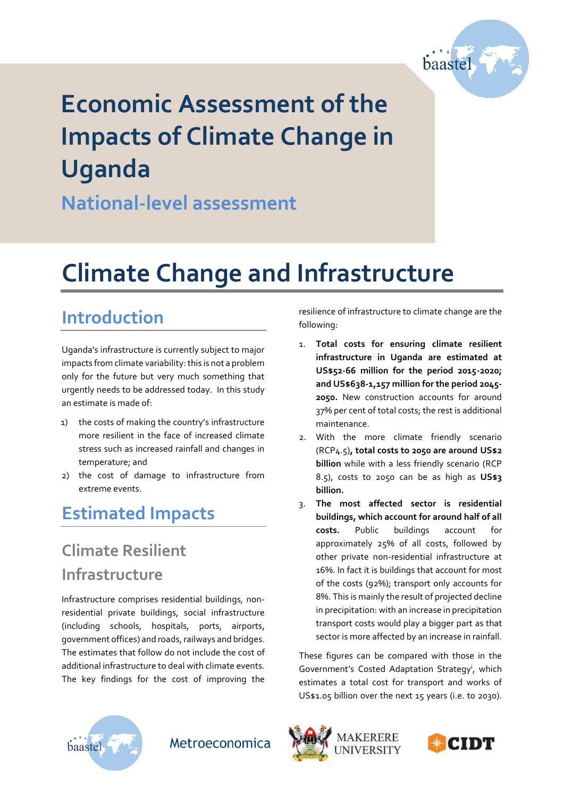

# **Economic Assessment of the Impacts of Climate Change in Uganda**

**National-level assessment**

## **Climate Change and Infrastructure**

## **Introduction**

Uganda's infrastructure is currently subject to major impacts from climate variability: this is not a problem only for the future but very much something that urgently needs to be addressed today. In this study an estimate is made of:

- 1) the costs of making the country's infrastructure more resilient in the face of increased climate stress such as increased rainfall and changes in temperature; and
- 2) the cost of damage to infrastructure from extreme events.

#### **Estimated Impacts**

## **Climate Resilient Infrastructure**

Infrastructure comprises residential buildings, nonresidential private buildings, social infrastructure (including schools, hospitals, ports, airports, government offices) and roads, railways and bridges. The estimates that follow do not include the cost of additional infrastructure to deal with climate events. The key findings for the cost of improving the

resilience of infrastructure to climate change are the following:

- 1. **Total costs for ensuring climate resilient infrastructure in Uganda are estimated at US\$52-66 million for the period 2015-2020; and US\$638-1,157 million for the period 2045- 2050.** New construction accounts for around 37% per cent of total costs; the rest is additional maintenance.
- 2. With the more climate friendly scenario (RCP4.5)**, total costs to 2050 are around US\$2 billion** while with a less friendly scenario (RCP 8.5), costs to 2050 can be as high as **US\$3 billion.**
- 3. **The most affected sector is residential buildings, which account for around half of all costs.** Public buildings account for approximately 25% of all costs, followed by other private non-residential infrastructure at 16%. In fact it is buildings that account for most of the costs (92%); transport only accounts for 8%. This is mainly the result of projected decline in precipitation: with an increase in precipitation transport costs would play a bigger part as that sector is more affected by an increase in rainfall.

These figures can be compared with those in the Government's Costed Adaptation Strategy<sup>i</sup>, which estimates a total cost for transport and works of US\$1.05 billion over the next 15 years (i.e. to 2030).



Metroeconomica